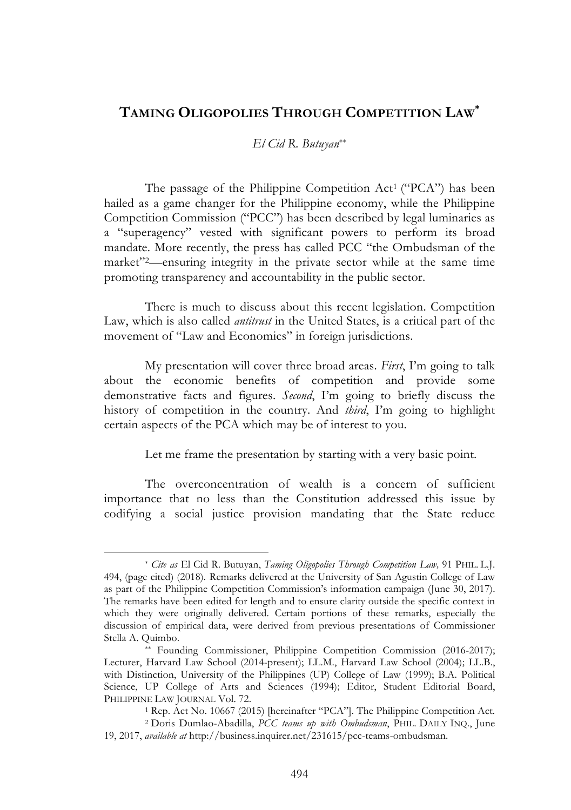# **TAMING OLIGOPOLIES THROUGH COMPETITION LAW\***

## *El Cid R. Butuyan*\*\*

The passage of the Philippine Competition Act<sup>1</sup> ("PCA") has been hailed as a game changer for the Philippine economy, while the Philippine Competition Commission ("PCC") has been described by legal luminaries as a "superagency" vested with significant powers to perform its broad mandate. More recently, the press has called PCC "the Ombudsman of the market"2—ensuring integrity in the private sector while at the same time promoting transparency and accountability in the public sector.

There is much to discuss about this recent legislation. Competition Law, which is also called *antitrust* in the United States, is a critical part of the movement of "Law and Economics" in foreign jurisdictions.

My presentation will cover three broad areas. *First*, I'm going to talk about the economic benefits of competition and provide some demonstrative facts and figures. *Second*, I'm going to briefly discuss the history of competition in the country. And *third*, I'm going to highlight certain aspects of the PCA which may be of interest to you.

Let me frame the presentation by starting with a very basic point.

The overconcentration of wealth is a concern of sufficient importance that no less than the Constitution addressed this issue by codifying a social justice provision mandating that the State reduce

<sup>\*</sup> *Cite as* El Cid R. Butuyan, *Taming Oligopolies Through Competition Law,* 91 PHIL. L.J. 494, (page cited) (2018). Remarks delivered at the University of San Agustin College of Law as part of the Philippine Competition Commission's information campaign (June 30, 2017). The remarks have been edited for length and to ensure clarity outside the specific context in which they were originally delivered. Certain portions of these remarks, especially the discussion of empirical data, were derived from previous presentations of Commissioner Stella A. Quimbo.

<sup>\*\*</sup> Founding Commissioner, Philippine Competition Commission (2016-2017); Lecturer, Harvard Law School (2014-present); LL.M., Harvard Law School (2004); LL.B., with Distinction, University of the Philippines (UP) College of Law (1999); B.A. Political Science, UP College of Arts and Sciences (1994); Editor, Student Editorial Board, PHILIPPINE LAW JOURNAL Vol. 72.

<sup>1</sup> Rep. Act No. 10667 (2015) [hereinafter "PCA"]. The Philippine Competition Act. <sup>2</sup> Doris Dumlao-Abadilla, *PCC teams up with Ombudsman*, PHIL. DAILY INQ., June 19, 2017, *available at* http://business.inquirer.net/231615/pcc-teams-ombudsman.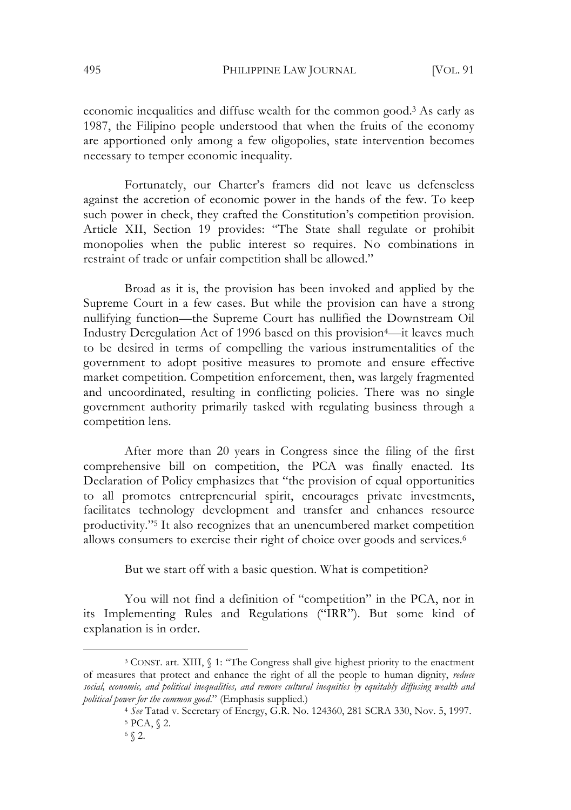economic inequalities and diffuse wealth for the common good.3 As early as 1987, the Filipino people understood that when the fruits of the economy are apportioned only among a few oligopolies, state intervention becomes necessary to temper economic inequality.

Fortunately, our Charter's framers did not leave us defenseless against the accretion of economic power in the hands of the few. To keep such power in check, they crafted the Constitution's competition provision. Article XII, Section 19 provides: "The State shall regulate or prohibit monopolies when the public interest so requires. No combinations in restraint of trade or unfair competition shall be allowed."

Broad as it is, the provision has been invoked and applied by the Supreme Court in a few cases. But while the provision can have a strong nullifying function—the Supreme Court has nullified the Downstream Oil Industry Deregulation Act of 1996 based on this provision4—it leaves much to be desired in terms of compelling the various instrumentalities of the government to adopt positive measures to promote and ensure effective market competition. Competition enforcement, then, was largely fragmented and uncoordinated, resulting in conflicting policies. There was no single government authority primarily tasked with regulating business through a competition lens.

After more than 20 years in Congress since the filing of the first comprehensive bill on competition, the PCA was finally enacted. Its Declaration of Policy emphasizes that "the provision of equal opportunities to all promotes entrepreneurial spirit, encourages private investments, facilitates technology development and transfer and enhances resource productivity."5 It also recognizes that an unencumbered market competition allows consumers to exercise their right of choice over goods and services.6

But we start off with a basic question. What is competition?

You will not find a definition of "competition" in the PCA, nor in its Implementing Rules and Regulations ("IRR"). But some kind of explanation is in order.

<sup>3</sup> CONST. art. XIII, § 1: "The Congress shall give highest priority to the enactment of measures that protect and enhance the right of all the people to human dignity, *reduce social, economic, and political inequalities, and remove cultural inequities by equitably diffusing wealth and political power for the common good*." (Emphasis supplied.)

<sup>4</sup> *See* Tatad v. Secretary of Energy, G.R. No. 124360, 281 SCRA 330, Nov. 5, 1997. <sup>5</sup> PCA, § 2.

<sup>6</sup> § 2.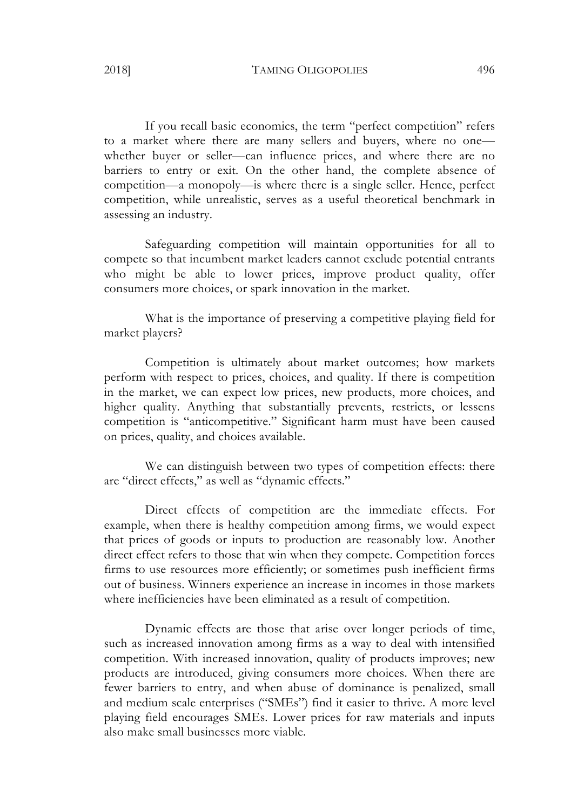If you recall basic economics, the term "perfect competition" refers to a market where there are many sellers and buyers, where no one whether buyer or seller—can influence prices, and where there are no barriers to entry or exit. On the other hand, the complete absence of competition—a monopoly—is where there is a single seller. Hence, perfect competition, while unrealistic, serves as a useful theoretical benchmark in assessing an industry.

Safeguarding competition will maintain opportunities for all to compete so that incumbent market leaders cannot exclude potential entrants who might be able to lower prices, improve product quality, offer consumers more choices, or spark innovation in the market.

What is the importance of preserving a competitive playing field for market players?

Competition is ultimately about market outcomes; how markets perform with respect to prices, choices, and quality. If there is competition in the market, we can expect low prices, new products, more choices, and higher quality. Anything that substantially prevents, restricts, or lessens competition is "anticompetitive." Significant harm must have been caused on prices, quality, and choices available.

We can distinguish between two types of competition effects: there are "direct effects," as well as "dynamic effects."

Direct effects of competition are the immediate effects. For example, when there is healthy competition among firms, we would expect that prices of goods or inputs to production are reasonably low. Another direct effect refers to those that win when they compete. Competition forces firms to use resources more efficiently; or sometimes push inefficient firms out of business. Winners experience an increase in incomes in those markets where inefficiencies have been eliminated as a result of competition.

Dynamic effects are those that arise over longer periods of time, such as increased innovation among firms as a way to deal with intensified competition. With increased innovation, quality of products improves; new products are introduced, giving consumers more choices. When there are fewer barriers to entry, and when abuse of dominance is penalized, small and medium scale enterprises ("SMEs") find it easier to thrive. A more level playing field encourages SMEs. Lower prices for raw materials and inputs also make small businesses more viable.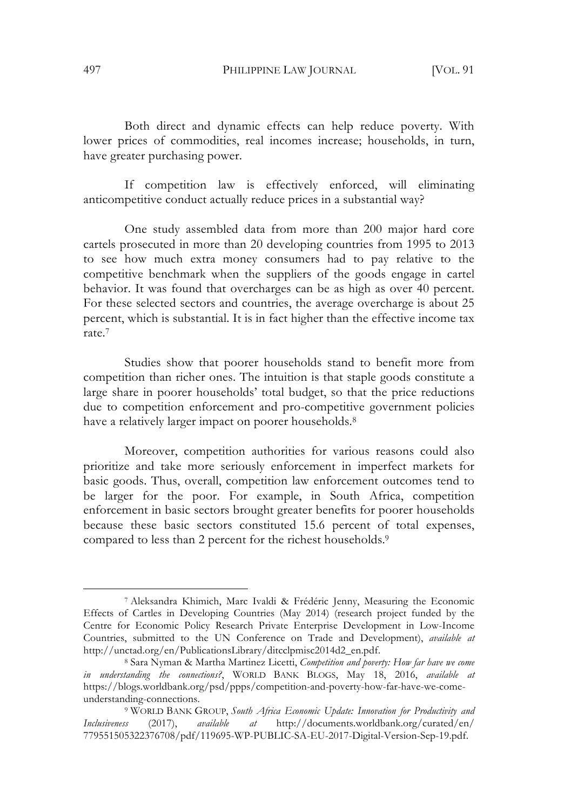Both direct and dynamic effects can help reduce poverty. With lower prices of commodities, real incomes increase; households, in turn, have greater purchasing power.

If competition law is effectively enforced, will eliminating anticompetitive conduct actually reduce prices in a substantial way?

One study assembled data from more than 200 major hard core cartels prosecuted in more than 20 developing countries from 1995 to 2013 to see how much extra money consumers had to pay relative to the competitive benchmark when the suppliers of the goods engage in cartel behavior. It was found that overcharges can be as high as over 40 percent. For these selected sectors and countries, the average overcharge is about 25 percent, which is substantial. It is in fact higher than the effective income tax rate.7

Studies show that poorer households stand to benefit more from competition than richer ones. The intuition is that staple goods constitute a large share in poorer households' total budget, so that the price reductions due to competition enforcement and pro-competitive government policies have a relatively larger impact on poorer households.<sup>8</sup>

Moreover, competition authorities for various reasons could also prioritize and take more seriously enforcement in imperfect markets for basic goods. Thus, overall, competition law enforcement outcomes tend to be larger for the poor. For example, in South Africa, competition enforcement in basic sectors brought greater benefits for poorer households because these basic sectors constituted 15.6 percent of total expenses, compared to less than 2 percent for the richest households.<sup>9</sup>

<sup>7</sup> Aleksandra Khimich, Marc Ivaldi & Frédéric Jenny, Measuring the Economic Effects of Cartles in Developing Countries (May 2014) (research project funded by the Centre for Economic Policy Research Private Enterprise Development in Low-Income Countries, submitted to the UN Conference on Trade and Development), *available at* http://unctad.org/en/PublicationsLibrary/ditcclpmisc2014d2\_en.pdf.

<sup>8</sup> Sara Nyman & Martha Martinez Licetti, *Competition and poverty: How far have we come in understanding the connections?*, WORLD BANK BLOGS, May 18, 2016, *available at* https://blogs.worldbank.org/psd/ppps/competition-and-poverty-how-far-have-we-comeunderstanding-connections.

<sup>9</sup> WORLD BANK GROUP, *South Africa Economic Update: Innovation for Productivity and Inclusiveness* (2017), *available at* http://documents.worldbank.org/curated/en/ 779551505322376708/pdf/119695-WP-PUBLIC-SA-EU-2017-Digital-Version-Sep-19.pdf.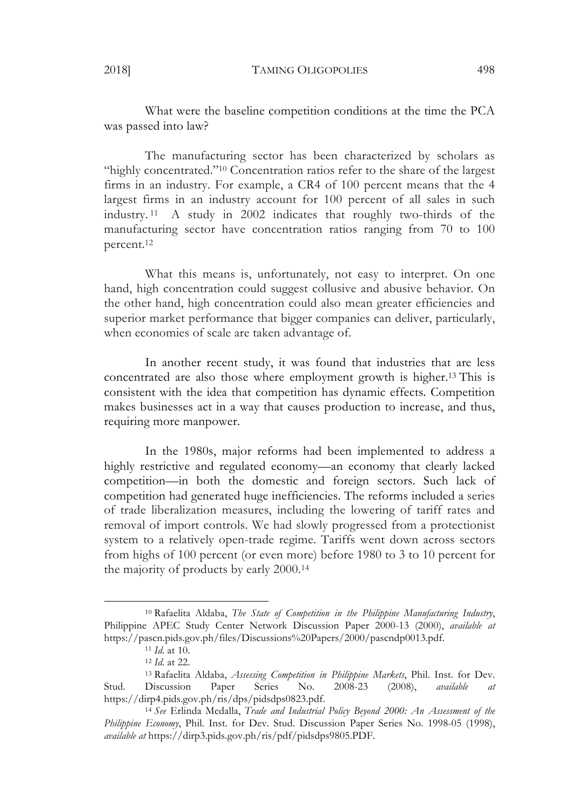What were the baseline competition conditions at the time the PCA was passed into law?

The manufacturing sector has been characterized by scholars as "highly concentrated."10 Concentration ratios refer to the share of the largest firms in an industry. For example, a CR4 of 100 percent means that the 4 largest firms in an industry account for 100 percent of all sales in such industry. 11 A study in 2002 indicates that roughly two-thirds of the manufacturing sector have concentration ratios ranging from 70 to 100 percent.12

What this means is, unfortunately, not easy to interpret. On one hand, high concentration could suggest collusive and abusive behavior. On the other hand, high concentration could also mean greater efficiencies and superior market performance that bigger companies can deliver, particularly, when economies of scale are taken advantage of.

In another recent study, it was found that industries that are less concentrated are also those where employment growth is higher.13 This is consistent with the idea that competition has dynamic effects. Competition makes businesses act in a way that causes production to increase, and thus, requiring more manpower.

In the 1980s, major reforms had been implemented to address a highly restrictive and regulated economy—an economy that clearly lacked competition—in both the domestic and foreign sectors. Such lack of competition had generated huge inefficiencies. The reforms included a series of trade liberalization measures, including the lowering of tariff rates and removal of import controls. We had slowly progressed from a protectionist system to a relatively open-trade regime. Tariffs went down across sectors from highs of 100 percent (or even more) before 1980 to 3 to 10 percent for the majority of products by early 2000.14

<sup>10</sup> Rafaelita Aldaba, *The State of Competition in the Philippine Manufacturing Industry*, Philippine APEC Study Center Network Discussion Paper 2000-13 (2000), *available at* https://pascn.pids.gov.ph/files/Discussions%20Papers/2000/pascndp0013.pdf.

<sup>11</sup> *Id.* at 10.

<sup>12</sup> *Id.* at 22.

<sup>13</sup> Rafaelita Aldaba, *Assessing Competition in Philippine Markets*, Phil. Inst. for Dev. Stud. Discussion Paper Series No. 2008-23 (2008), *available at*  https://dirp4.pids.gov.ph/ris/dps/pidsdps0823.pdf.

<sup>14</sup> *See* Erlinda Medalla, *Trade and Industrial Policy Beyond 2000: An Assessment of the Philippine Economy*, Phil. Inst. for Dev. Stud. Discussion Paper Series No. 1998-05 (1998), *available at* https://dirp3.pids.gov.ph/ris/pdf/pidsdps9805.PDF.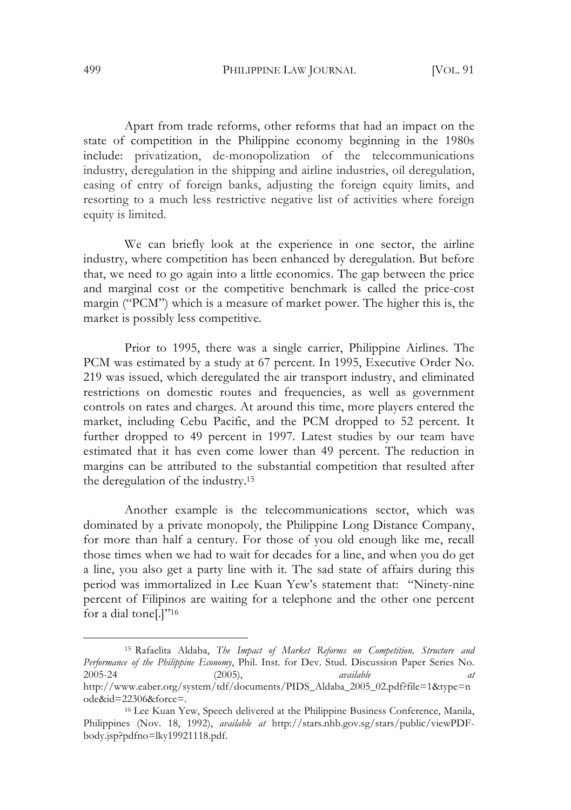Apart from trade reforms, other reforms that had an impact on the state of competition in the Philippine economy beginning in the 1980s include: privatization, de-monopolization of the telecommunications industry, deregulation in the shipping and airline industries, oil deregulation, easing of entry of foreign banks, adjusting the foreign equity limits, and resorting to a much less restrictive negative list of activities where foreign equity is limited.

We can briefly look at the experience in one sector, the airline industry, where competition has been enhanced by deregulation. But before that, we need to go again into a little economics. The gap between the price and marginal cost or the competitive benchmark is called the price-cost margin ("PCM") which is a measure of market power. The higher this is, the market is possibly less competitive.

Prior to 1995, there was a single carrier, Philippine Airlines. The PCM was estimated by a study at 67 percent. In 1995, Executive Order No. 219 was issued, which deregulated the air transport industry, and eliminated restrictions on domestic routes and frequencies, as well as government controls on rates and charges. At around this time, more players entered the market, including Cebu Pacific, and the PCM dropped to 52 percent. It further dropped to 49 percent in 1997. Latest studies by our team have estimated that it has even come lower than 49 percent. The reduction in margins can be attributed to the substantial competition that resulted after the deregulation of the industry.15

Another example is the telecommunications sector, which was dominated by a private monopoly, the Philippine Long Distance Company, for more than half a century. For those of you old enough like me, recall those times when we had to wait for decades for a line, and when you do get a line, you also get a party line with it. The sad state of affairs during this period was immortalized in Lee Kuan Yew's statement that: "Ninety-nine percent of Filipinos are waiting for a telephone and the other one percent for a dial tone[.]"16

<sup>15</sup> Rafaelita Aldaba, *The Impact of Market Reforms on Competition, Structure and Performance of the Philippine Economy*, Phil. Inst. for Dev. Stud. Discussion Paper Series No. 2005-24 (2005), *available at*  http://www.eaber.org/system/tdf/documents/PIDS\_Aldaba\_2005\_02.pdf?file=1&type=n ode&id=22306&force=.

<sup>16</sup> Lee Kuan Yew, Speech delivered at the Philippine Business Conference, Manila, Philippines (Nov. 18, 1992), *available at* http://stars.nhb.gov.sg/stars/public/viewPDFbody.jsp?pdfno=lky19921118.pdf.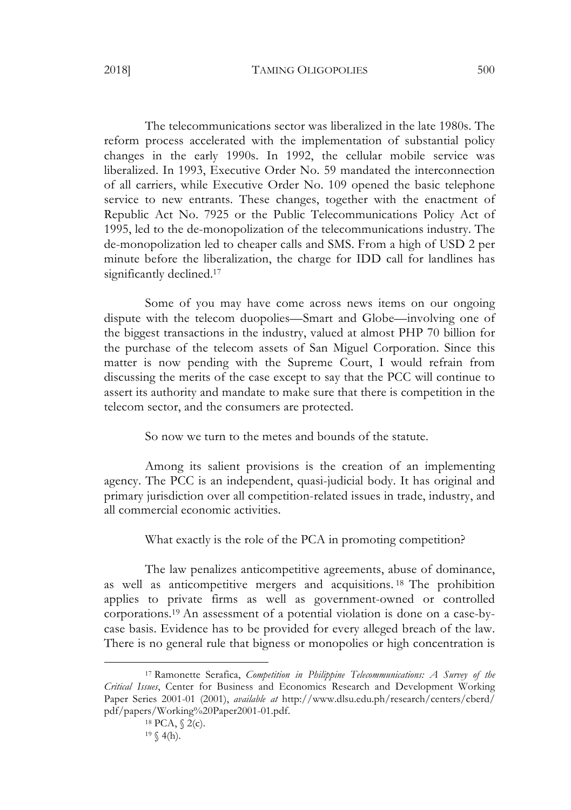The telecommunications sector was liberalized in the late 1980s. The reform process accelerated with the implementation of substantial policy changes in the early 1990s. In 1992, the cellular mobile service was liberalized. In 1993, Executive Order No. 59 mandated the interconnection of all carriers, while Executive Order No. 109 opened the basic telephone service to new entrants. These changes, together with the enactment of Republic Act No. 7925 or the Public Telecommunications Policy Act of 1995, led to the de-monopolization of the telecommunications industry. The de-monopolization led to cheaper calls and SMS. From a high of USD 2 per minute before the liberalization, the charge for IDD call for landlines has significantly declined.<sup>17</sup>

Some of you may have come across news items on our ongoing dispute with the telecom duopolies—Smart and Globe—involving one of the biggest transactions in the industry, valued at almost PHP 70 billion for the purchase of the telecom assets of San Miguel Corporation. Since this matter is now pending with the Supreme Court, I would refrain from discussing the merits of the case except to say that the PCC will continue to assert its authority and mandate to make sure that there is competition in the telecom sector, and the consumers are protected.

So now we turn to the metes and bounds of the statute.

Among its salient provisions is the creation of an implementing agency. The PCC is an independent, quasi-judicial body. It has original and primary jurisdiction over all competition-related issues in trade, industry, and all commercial economic activities.

What exactly is the role of the PCA in promoting competition?

The law penalizes anticompetitive agreements, abuse of dominance, as well as anticompetitive mergers and acquisitions. <sup>18</sup> The prohibition applies to private firms as well as government-owned or controlled corporations.19 An assessment of a potential violation is done on a case-bycase basis. Evidence has to be provided for every alleged breach of the law. There is no general rule that bigness or monopolies or high concentration is

<sup>17</sup> Ramonette Serafica, *Competition in Philippine Telecommunications: A Survey of the Critical Issues*, Center for Business and Economics Research and Development Working Paper Series 2001-01 (2001), *available at* http://www.dlsu.edu.ph/research/centers/cberd/ pdf/papers/Working%20Paper2001-01.pdf.

<sup>18</sup> PCA, § 2(c).  $19 \ (4(h).$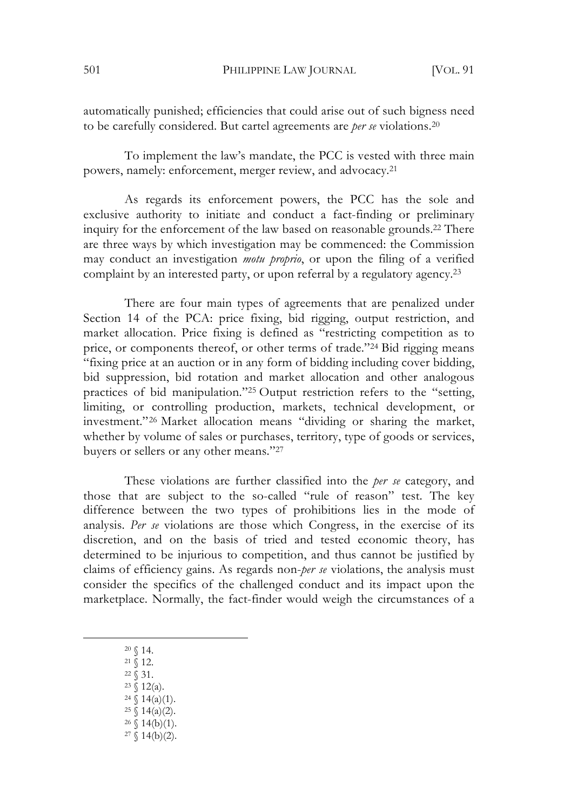automatically punished; efficiencies that could arise out of such bigness need to be carefully considered. But cartel agreements are *per se* violations.20

To implement the law's mandate, the PCC is vested with three main powers, namely: enforcement, merger review, and advocacy.21

As regards its enforcement powers, the PCC has the sole and exclusive authority to initiate and conduct a fact-finding or preliminary inquiry for the enforcement of the law based on reasonable grounds.22 There are three ways by which investigation may be commenced: the Commission may conduct an investigation *motu proprio*, or upon the filing of a verified complaint by an interested party, or upon referral by a regulatory agency.<sup>23</sup>

There are four main types of agreements that are penalized under Section 14 of the PCA: price fixing, bid rigging, output restriction, and market allocation. Price fixing is defined as "restricting competition as to price, or components thereof, or other terms of trade."24 Bid rigging means "fixing price at an auction or in any form of bidding including cover bidding, bid suppression, bid rotation and market allocation and other analogous practices of bid manipulation."25 Output restriction refers to the "setting, limiting, or controlling production, markets, technical development, or investment."26 Market allocation means "dividing or sharing the market, whether by volume of sales or purchases, territory, type of goods or services, buyers or sellers or any other means."27

These violations are further classified into the *per se* category, and those that are subject to the so-called "rule of reason" test. The key difference between the two types of prohibitions lies in the mode of analysis. *Per se* violations are those which Congress, in the exercise of its discretion, and on the basis of tried and tested economic theory, has determined to be injurious to competition, and thus cannot be justified by claims of efficiency gains. As regards non-*per se* violations, the analysis must consider the specifics of the challenged conduct and its impact upon the marketplace. Normally, the fact-finder would weigh the circumstances of a

- <sup>20</sup> § 14.
	- <sup>21</sup> § 12.
	- $22 \times 31$ .
	- $23 \sqrt{12(a)}$ .
	- $24 \leq 14(a)(1)$ .  $25 \S 14(a)(2)$ .
	- $26 \{(14(b)(1)).$
	- $27 \{(14(b)(2)).$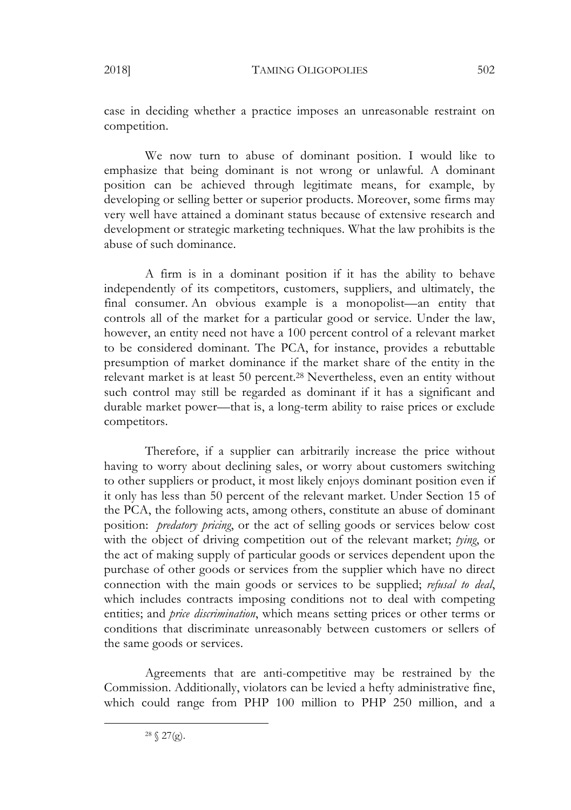case in deciding whether a practice imposes an unreasonable restraint on competition.

We now turn to abuse of dominant position. I would like to emphasize that being dominant is not wrong or unlawful. A dominant position can be achieved through legitimate means, for example, by developing or selling better or superior products. Moreover, some firms may very well have attained a dominant status because of extensive research and development or strategic marketing techniques. What the law prohibits is the abuse of such dominance.

A firm is in a dominant position if it has the ability to behave independently of its competitors, customers, suppliers, and ultimately, the final consumer. An obvious example is a monopolist—an entity that controls all of the market for a particular good or service. Under the law, however, an entity need not have a 100 percent control of a relevant market to be considered dominant. The PCA, for instance, provides a rebuttable presumption of market dominance if the market share of the entity in the relevant market is at least 50 percent.28 Nevertheless, even an entity without such control may still be regarded as dominant if it has a significant and durable market power—that is, a long-term ability to raise prices or exclude competitors.

Therefore, if a supplier can arbitrarily increase the price without having to worry about declining sales, or worry about customers switching to other suppliers or product, it most likely enjoys dominant position even if it only has less than 50 percent of the relevant market. Under Section 15 of the PCA, the following acts, among others, constitute an abuse of dominant position: *predatory pricing*, or the act of selling goods or services below cost with the object of driving competition out of the relevant market; *tying*, or the act of making supply of particular goods or services dependent upon the purchase of other goods or services from the supplier which have no direct connection with the main goods or services to be supplied; *refusal to deal*, which includes contracts imposing conditions not to deal with competing entities; and *price discrimination*, which means setting prices or other terms or conditions that discriminate unreasonably between customers or sellers of the same goods or services.

Agreements that are anti-competitive may be restrained by the Commission. Additionally, violators can be levied a hefty administrative fine, which could range from PHP 100 million to PHP 250 million, and a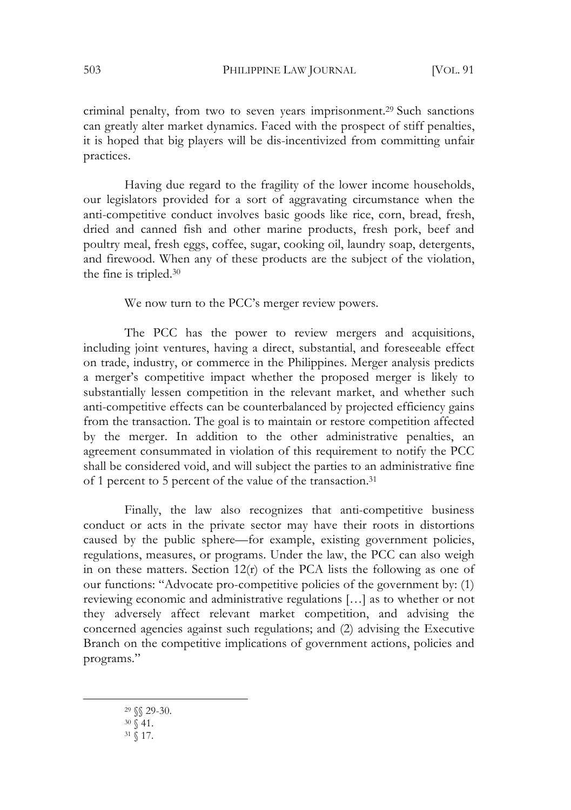criminal penalty, from two to seven years imprisonment.29 Such sanctions can greatly alter market dynamics. Faced with the prospect of stiff penalties, it is hoped that big players will be dis-incentivized from committing unfair practices.

Having due regard to the fragility of the lower income households, our legislators provided for a sort of aggravating circumstance when the anti-competitive conduct involves basic goods like rice, corn, bread, fresh, dried and canned fish and other marine products, fresh pork, beef and poultry meal, fresh eggs, coffee, sugar, cooking oil, laundry soap, detergents, and firewood. When any of these products are the subject of the violation, the fine is tripled.30

We now turn to the PCC's merger review powers.

The PCC has the power to review mergers and acquisitions, including joint ventures, having a direct, substantial, and foreseeable effect on trade, industry, or commerce in the Philippines. Merger analysis predicts a merger's competitive impact whether the proposed merger is likely to substantially lessen competition in the relevant market, and whether such anti-competitive effects can be counterbalanced by projected efficiency gains from the transaction. The goal is to maintain or restore competition affected by the merger. In addition to the other administrative penalties, an agreement consummated in violation of this requirement to notify the PCC shall be considered void, and will subject the parties to an administrative fine of 1 percent to 5 percent of the value of the transaction.31

Finally, the law also recognizes that anti-competitive business conduct or acts in the private sector may have their roots in distortions caused by the public sphere—for example, existing government policies, regulations, measures, or programs. Under the law, the PCC can also weigh in on these matters. Section  $12(r)$  of the PCA lists the following as one of our functions: "Advocate pro-competitive policies of the government by: (1) reviewing economic and administrative regulations […] as to whether or not they adversely affect relevant market competition, and advising the concerned agencies against such regulations; and (2) advising the Executive Branch on the competitive implications of government actions, policies and programs."

<sup>29</sup> §§ 29-30.

- $30\sqrt{41}$ .
- <sup>31</sup> § 17.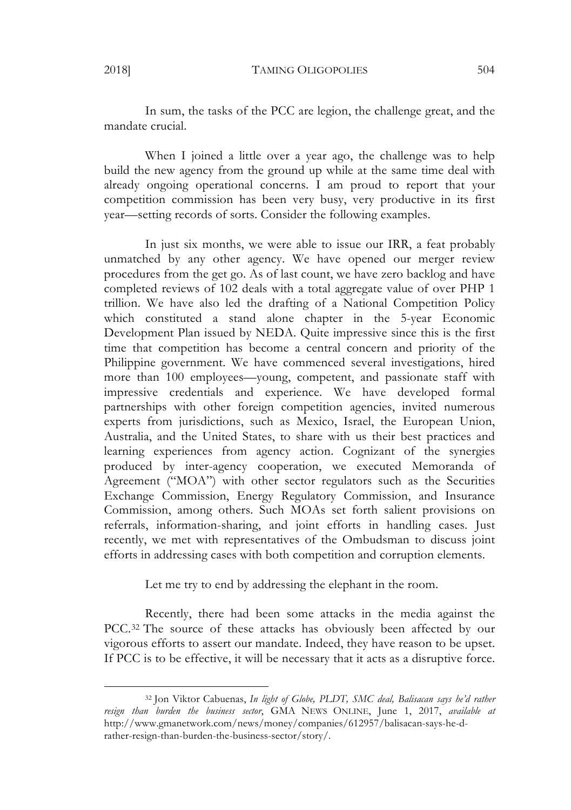In sum, the tasks of the PCC are legion, the challenge great, and the mandate crucial.

When I joined a little over a year ago, the challenge was to help build the new agency from the ground up while at the same time deal with already ongoing operational concerns. I am proud to report that your competition commission has been very busy, very productive in its first year—setting records of sorts. Consider the following examples.

In just six months, we were able to issue our IRR, a feat probably unmatched by any other agency. We have opened our merger review procedures from the get go. As of last count, we have zero backlog and have completed reviews of 102 deals with a total aggregate value of over PHP 1 trillion. We have also led the drafting of a National Competition Policy which constituted a stand alone chapter in the 5-year Economic Development Plan issued by NEDA. Quite impressive since this is the first time that competition has become a central concern and priority of the Philippine government. We have commenced several investigations, hired more than 100 employees—young, competent, and passionate staff with impressive credentials and experience. We have developed formal partnerships with other foreign competition agencies, invited numerous experts from jurisdictions, such as Mexico, Israel, the European Union, Australia, and the United States, to share with us their best practices and learning experiences from agency action. Cognizant of the synergies produced by inter-agency cooperation, we executed Memoranda of Agreement ("MOA") with other sector regulators such as the Securities Exchange Commission, Energy Regulatory Commission, and Insurance Commission, among others. Such MOAs set forth salient provisions on referrals, information-sharing, and joint efforts in handling cases. Just recently, we met with representatives of the Ombudsman to discuss joint efforts in addressing cases with both competition and corruption elements.

Let me try to end by addressing the elephant in the room.

Recently, there had been some attacks in the media against the PCC.<sup>32</sup> The source of these attacks has obviously been affected by our vigorous efforts to assert our mandate. Indeed, they have reason to be upset. If PCC is to be effective, it will be necessary that it acts as a disruptive force.

<sup>32</sup> Jon Viktor Cabuenas, *In light of Globe, PLDT, SMC deal, Balisacan says he'd rather resign than burden the business sector*, GMA NEWS ONLINE, June 1, 2017, *available at* http://www.gmanetwork.com/news/money/companies/612957/balisacan-says-he-drather-resign-than-burden-the-business-sector/story/.